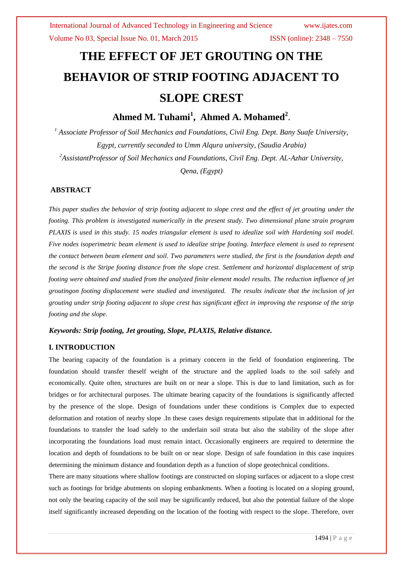# **THE EFFECT OF JET GROUTING ON THE BEHAVIOR OF STRIP FOOTING ADJACENT TO SLOPE CREST**

**Ahmed M. Tuhami<sup>1</sup> , Ahmed A. Mohamed<sup>2</sup>** .

*<sup>1</sup> Associate Professor of Soil Mechanics and Foundations, Civil Eng. Dept. Bany Suafe University, Egypt, currently seconded to Umm Alqura university, (Saudia Arabia) <sup>2</sup>AssistantProfessor of Soil Mechanics and Foundations, Civil Eng. Dept. AL-Azhar University,* 

*Qena, (Egypt)*

### **ABSTRACT**

*This paper studies the behavior of strip footing adjacent to slope crest and the effect of jet grouting under the footing. This problem is investigated numerically in the present study. Two dimensional plane strain program PLAXIS is used in this study. 15 nodes triangular element is used to idealize soil with Hardening soil model. Five nodes isoperimetric beam element is used to idealize stripe footing. Interface element is used to represent the contact between beam element and soil. Two parameters were studied, the first is the foundation depth and the second is the Stripe footing distance from the slope crest. Settlement and horizontal displacement of strip footing were obtained and studied from the analyzed finite element model results. The reduction influence of jet groutingon footing displacement were studied and investigated. The results indicate that the inclusion of jet grouting under strip footing adjacent to slope crest has significant effect in improving the response of the strip footing and the slope.*

### *Keywords: Strip footing, Jet grouting, Slope, PLAXIS, Relative distance.*

### **I. INTRODUCTION**

The bearing capacity of the foundation is a primary concern in the field of foundation engineering. The foundation should transfer theself weight of the structure and the applied loads to the soil safely and economically. Quite often, structures are built on or near a slope. This is due to land limitation, such as for bridges or for architectural purposes. The ultimate bearing capacity of the foundations is significantly affected by the presence of the slope. Design of foundations under these conditions is Complex due to expected deformation and rotation of nearby slope .In these cases design requirements stipulate that in additional for the foundations to transfer the load safely to the underlain soil strata but also the stability of the slope after incorporating the foundations load must remain intact. Occasionally engineers are required to determine the location and depth of foundations to be built on or near slope. Design of safe foundation in this case inquires determining the minimum distance and foundation depth as a function of slope geotechnical conditions.

There are many situations where shallow footings are constructed on sloping surfaces or adjacent to a slope crest such as footings for bridge abutments on sloping embankments. When a footing is located on a sloping ground, not only the bearing capacity of the soil may be significantly reduced, but also the potential failure of the slope itself significantly increased depending on the location of the footing with respect to the slope. Therefore, over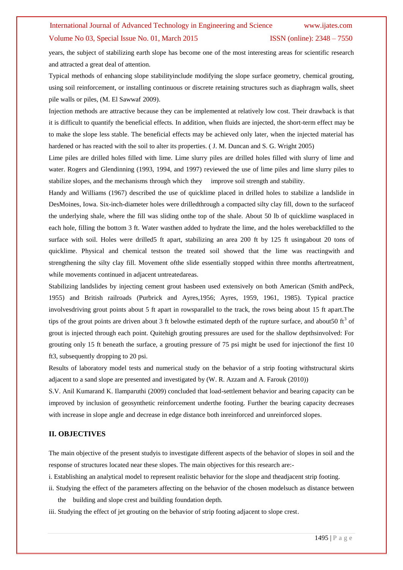years, the subject of stabilizing earth slope has become one of the most interesting areas for scientific research and attracted a great deal of attention.

Typical methods of enhancing slope stabilityinclude modifying the slope surface geometry, chemical grouting, using soil reinforcement, or installing continuous or discrete retaining structures such as diaphragm walls, sheet pile walls or piles, (M. El Sawwaf 2009).

Injection methods are attractive because they can be implemented at relatively low cost. Their drawback is that it is difficult to quantify the beneficial effects. In addition, when fluids are injected, the short-term effect may be to make the slope less stable. The beneficial effects may be achieved only later, when the injected material has hardened or has reacted with the soil to alter its properties. ( J. M. Duncan and S. G. Wright 2005)

Lime piles are drilled holes filled with lime. Lime slurry piles are drilled holes filled with slurry of lime and water. Rogers and Glendinning (1993, 1994, and 1997) reviewed the use of lime piles and lime slurry piles to stabilize slopes, and the mechanisms through which they improve soil strength and stability.

Handy and Williams (1967) described the use of quicklime placed in drilled holes to stabilize a landslide in DesMoines, Iowa. Six-inch-diameter holes were drilledthrough a compacted silty clay fill, down to the surfaceof the underlying shale, where the fill was sliding onthe top of the shale. About 50 lb of quicklime wasplaced in each hole, filling the bottom 3 ft. Water wasthen added to hydrate the lime, and the holes werebackfilled to the surface with soil. Holes were drilled5 ft apart, stabilizing an area 200 ft by 125 ft usingabout 20 tons of quicklime. Physical and chemical testson the treated soil showed that the lime was reactingwith and strengthening the silty clay fill. Movement ofthe slide essentially stopped within three months aftertreatment, while movements continued in adjacent untreatedareas.

Stabilizing landslides by injecting cement grout hasbeen used extensively on both American (Smith andPeck, 1955) and British railroads (Purbrick and Ayres,1956; Ayres, 1959, 1961, 1985). Typical practice involvesdriving grout points about 5 ft apart in rowsparallel to the track, the rows being about 15 ft apart.The tips of the grout points are driven about 3 ft belowthe estimated depth of the rupture surface, and about 50 ft<sup>3</sup> of grout is injected through each point. Quitehigh grouting pressures are used for the shallow depthsinvolved: For grouting only 15 ft beneath the surface, a grouting pressure of 75 psi might be used for injectionof the first 10 ft3, subsequently dropping to 20 psi.

Results of laboratory model tests and numerical study on the behavior of a strip footing withstructural skirts adjacent to a sand slope are presented and investigated by (W. R. Azzam and A. Farouk (2010))

S.V. Anil Kumarand K. Ilamparuthi (2009) concluded that load-settlement behavior and bearing capacity can be improved by inclusion of geosynthetic reinforcement underthe footing. Further the bearing capacity decreases with increase in slope angle and decrease in edge distance both inreinforced and unreinforced slopes.

### **II. OBJECTIVES**

The main objective of the present studyis to investigate different aspects of the behavior of slopes in soil and the response of structures located near these slopes. The main objectives for this research are:-

i. Establishing an analytical model to represent realistic behavior for the slope and theadjacent strip footing.

- ii. Studying the effect of the parameters affecting on the behavior of the chosen modelsuch as distance between the building and slope crest and building foundation depth.
- iii. Studying the effect of jet grouting on the behavior of strip footing adjacent to slope crest.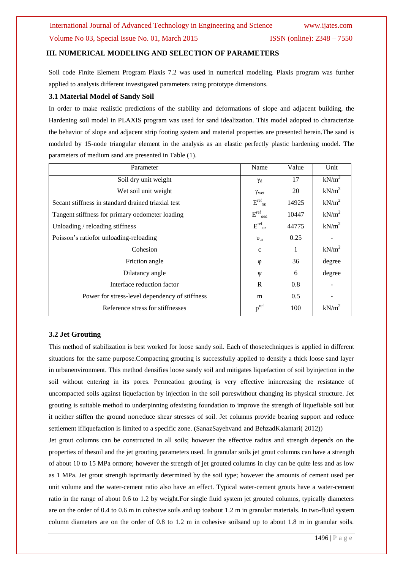### **III. NUMERICAL MODELING AND SELECTION OF PARAMETERS**

Soil code Finite Element Program Plaxis 7.2 was used in numerical modeling. Plaxis program was further applied to analysis different investigated parameters using prototype dimensions.

### **3.1 Material Model of Sandy Soil**

In order to make realistic predictions of the stability and deformations of slope and adjacent building, the Hardening soil model in PLAXIS program was used for sand idealization. This model adopted to characterize the behavior of slope and adjacent strip footing system and material properties are presented herein.The sand is modeled by 15-node triangular element in the analysis as an elastic perfectly plastic hardening model. The parameters of medium sand are presented in Table (1).

| Parameter                                          | Name                          | Value | Unit              |
|----------------------------------------------------|-------------------------------|-------|-------------------|
| Soil dry unit weight                               | $\gamma_d$                    | 17    | $kN/m^3$          |
| Wet soil unit weight                               | $\gamma_{\rm wet}$            | 20    | $kN/m^3$          |
| Secant stiffness in standard drained triaxial test | $E^{\rm ref}$ <sub>50</sub>   | 14925 | kN/m <sup>2</sup> |
| Tangent stiffness for primary oedometer loading    | $E^{\text{ref}}_{\text{oed}}$ | 10447 | kN/m <sup>2</sup> |
| Unloading / reloading stiffness                    | $E^{ref}$ <sub>ur</sub>       | 44775 | $kN/m^2$          |
| Poisson's ratiofor unloading-reloading             | $v_{\rm ur}$                  | 0.25  |                   |
| Cohesion                                           | $\mathbf{c}$                  | 1     | kN/m <sup>2</sup> |
| Friction angle                                     | $\varphi$                     | 36    | degree            |
| Dilatancy angle                                    | Ψ                             | 6     | degree            |
| Interface reduction factor                         | R                             | 0.8   |                   |
| Power for stress-level dependency of stiffness     | m                             | 0.5   |                   |
| Reference stress for stiffnesses                   | $p^{ref}$                     | 100   | kN/m <sup>2</sup> |
|                                                    |                               |       |                   |

### **3.2 Jet Grouting**

This method of stabilization is best worked for loose sandy soil. Each of thosetechniques is applied in different situations for the same purpose.Compacting grouting is successfully applied to densify a thick loose sand layer in urbanenvironment. This method densifies loose sandy soil and mitigates liquefaction of soil byinjection in the soil without entering in its pores. Permeation grouting is very effective inincreasing the resistance of uncompacted soils against liquefaction by injection in the soil poreswithout changing its physical structure. Jet grouting is suitable method to underpinning ofexisting foundation to improve the strength of liquefiable soil but it neither stiffen the ground norreduce shear stresses of soil. Jet columns provide bearing support and reduce settlement ifliquefaction is limited to a specific zone. (SanazSayehvand and BehzadKalantari( 2012))

Jet grout columns can be constructed in all soils; however the effective radius and strength depends on the properties of thesoil and the jet grouting parameters used. In granular soils jet grout columns can have a strength of about 10 to 15 MPa ormore; however the strength of jet grouted columns in clay can be quite less and as low as 1 MPa. Jet grout strength isprimarily determined by the soil type; however the amounts of cement used per unit volume and the water-cement ratio also have an effect. Typical water-cement grouts have a water-cement ratio in the range of about 0.6 to 1.2 by weight.For single fluid system jet grouted columns, typically diameters are on the order of 0.4 to 0.6 m in cohesive soils and up toabout 1.2 m in granular materials. In two-fluid system column diameters are on the order of 0.8 to 1.2 m in cohesive soilsand up to about 1.8 m in granular soils.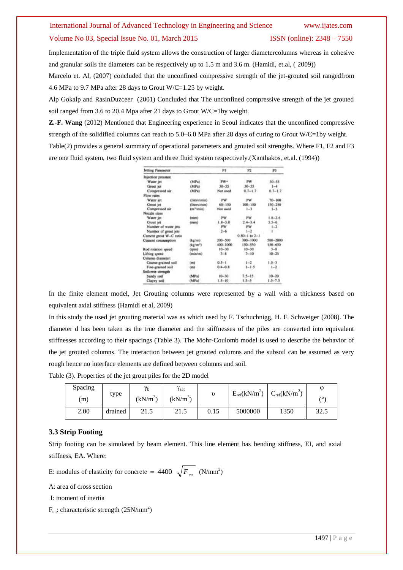Implementation of the triple fluid system allows the construction of larger diametercolumns whereas in cohesive and granular soils the diameters can be respectively up to 1.5 m and 3.6 m. (Hamidi, et.al, ( 2009))

Marcelo et. Al, (2007) concluded that the unconfined compressive strength of the jet-grouted soil rangedfrom 4.6 MPa to 9.7 MPa after 28 days to Grout W/C=1.25 by weight.

Alp Gokalp and RasinDuzceer (2001) Concluded that The unconfined compressive strength of the jet grouted soil ranged from 3.6 to 20.4 Mpa after 21 days to Grout W/C=1by weight.

**Z.-F. Wang** (2012) Mentioned that Engineering experience in Seoul indicates that the unconfined compressive strength of the solidified columns can reach to 5.0–6.0 MPa after 28 days of curing to Grout W/C=1by weight. Table(2) provides a general summary of operational parameters and grouted soil strengths. Where F1, F2 and F3 are one fluid system, two fluid system and three fluid system respectively.(Xanthakos, et.al. (1994))

| Jetting Parameter      |                       | FI          | 92                    | F1          |
|------------------------|-----------------------|-------------|-----------------------|-------------|
| Injection pressure     |                       |             |                       |             |
| Water jet              | (MPa)                 | PW+         | PW                    | $30 - 55$   |
| Grout jet              | (MPa)                 | $30 - 55$   | $30 - 55$             | $1 - 4$     |
| Compressed air         | $(MP_0)$              | Not used    | $0.7 - 1.7$           | $0.7 - 1.7$ |
| Flow rates             |                       |             |                       |             |
| Water jet              | (liters/min)          | . PW        | <b>PW</b>             | $70 - 100$  |
| Grout jet              | (liters/min)          | 60-150      | $100 - 150$           | 150-250     |
| Compressed air         | (m <sup>3</sup> /min) | Not used    | $1 - 3$               | $1 - 3$     |
| Nozzie sizes           |                       |             |                       |             |
| Water jet              | (mim)                 | PW          | PW                    | $1.8 - 2.6$ |
| Grout iet              | (mm)                  | $1.8 - 3.0$ | $2.4 - 3.4$           | $3.5 - 6$   |
| Number of water iets.  |                       | PW          | <b>PW</b>             | $1 - 2$     |
| Number of grout jets   |                       | $2 - 6$     | $1 - 2$               |             |
| Cement grout W-C ratio |                       |             | $0.80 - 1$ to $2 - 1$ |             |
| Cement consumption     | (kg/m)                | 200-500     | 300-1000              | \$90-2000   |
|                        | (kg/m <sup>a</sup> )  | 400-1000    | 150-550               | $150 - 650$ |
| Rod rotation speed     | (rpm)                 | $10 - 30$   | $10 - 30$             | $3 - 8$     |
| Lifting spood          | Croin/m)              | $3 - 8$     | $3 - 10$              | $10 - 25$   |
| Column diameter:       |                       |             |                       |             |
| Coarse-grained soil    | (m)                   | $0.5 - 1$   | $1 - 2$               | $1.5 - 3$   |
| Fine-grained soil      | (m)                   | $0.4 - 0.8$ | $1 - 1.5$             | $1 - 2$     |
| Soilcrete strength     |                       |             |                       |             |
| Sandy soil             | (MPa)                 | $10 - 30$   | $7.5 - 15.$           | $10 - 20$   |
| Clayey soil            | (MPa)                 | $1.5 - 10$  | $1.5 - 5$             | $15 - 75$   |

In the finite element model, Jet Grouting columns were represented by a wall with a thickness based on equivalent axial stiffness (Hamidi et al, 2009)

In this study the used jet grouting material was as which used by F. Tschuchnigg, H. F. Schweiger (2008). The diameter d has been taken as the true diameter and the stiffnesses of the piles are converted into equivalent stiffnesses according to their spacings (Table 3). The Mohr-Coulomb model is used to describe the behavior of the jet grouted columns. The interaction between jet grouted columns and the subsoil can be assumed as very rough hence no interface elements are defined between columns and soil.

Table (3). Properties of the jet grout piles for the 2D model

| Spacing<br>(m) | type    | $\gamma_{\rm b}$<br>$(kN/m^3)$ | $\gamma_{\rm sat}$<br>$(kN/m^3)$ |      | $E_{ref}(kN/m^2)$ | $C_{ref}(kN/m^2)$ | $\omega$<br>$\sqrt{\circ}$ |
|----------------|---------|--------------------------------|----------------------------------|------|-------------------|-------------------|----------------------------|
| 2.00           | drained | 21.5                           | 21.5                             | 0.15 | 5000000           | 1350              | 32.5                       |

### **3.3 Strip Footing**

Strip footing can be simulated by beam element. This line element has bending stiffness, EI, and axial stiffness, EA. Where:

E: modulus of elasticity for concrete =  $4400 \sqrt{F_{cu}}$  (N/mm<sup>2</sup>)

A: area of cross section

I: moment of inertia

 $F_{\text{cu}}$ : characteristic strength (25N/mm<sup>2</sup>)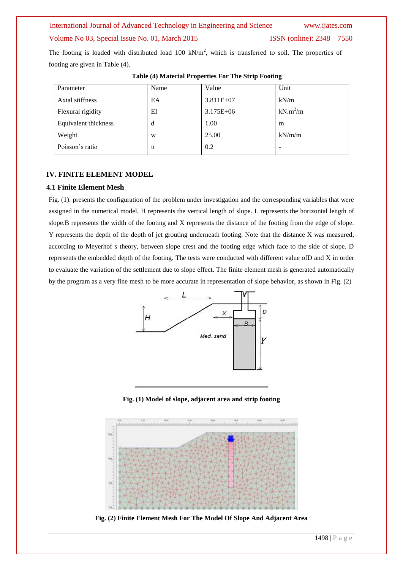### International Journal of Advanced Technology in Engineering and Science www.ijates.com

### Volume No 03, Special Issue No. 01, March 2015 ISSN (online): 2348 – 7550

The footing is loaded with distributed load 100 kN/m<sup>2</sup>, which is transferred to soil. The properties of footing are given in Table (4).

| Parameter            | Name       | Value         | Unit       |
|----------------------|------------|---------------|------------|
| Axial stiffness      | EA         | $3.811E+07$   | kN/m       |
| Flexural rigidity    | EI         | $3.175E + 06$ | $kN.m^2/m$ |
| Equivalent thickness | d          | 1.00          | m          |
| Weight               | W          | 25.00         | kN/m/m     |
| Poisson's ratio      | $\upsilon$ | 0.2           |            |

### **Table (4) Material Properties For The Strip Footing**

### **IV. FINITE ELEMENT MODEL**

### **4.1 Finite Element Mesh**

Fig. (1). presents the configuration of the problem under investigation and the corresponding variables that were assigned in the numerical model, H represents the vertical length of slope. L represents the horizontal length of slope.B represents the width of the footing and X represents the distance of the footing from the edge of slope. Y represents the depth of the depth of jet grouting underneath footing. Note that the distance X was measured, according to Meyerhof s theory, between slope crest and the footing edge which face to the side of slope. D represents the embedded depth of the footing. The tests were conducted with different value ofD and X in order to evaluate the variation of the settlement due to slope effect. The finite element mesh is generated automatically by the program as a very fine mesh to be more accurate in representation of slope behavior, as shown in Fig. (2)



**Fig. (1) Model of slope, adjacent area and strip footing**



**Fig. (2) Finite Element Mesh For The Model Of Slope And Adjacent Area**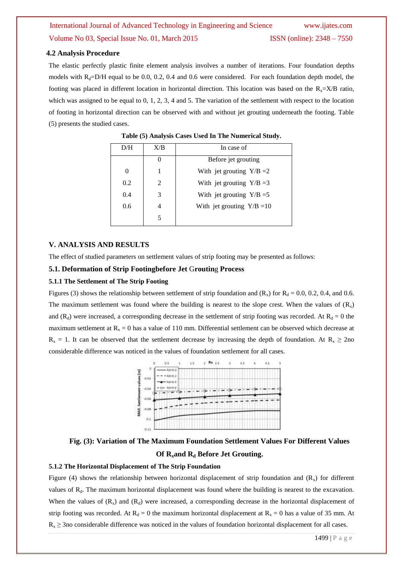### **4.2 Analysis Procedure**

The elastic perfectly plastic finite element analysis involves a number of iterations. Four foundation depths models with  $R_d$ =D/H equal to be 0.0, 0.2, 0.4 and 0.6 were considered. For each foundation depth model, the footing was placed in different location in horizontal direction. This location was based on the  $R_x=X/B$  ratio, which was assigned to be equal to 0, 1, 2, 3, 4 and 5. The variation of the settlement with respect to the location of footing in horizontal direction can be observed with and without jet grouting underneath the footing. Table (5) presents the studied cases.

| D/H      | X/B                         | In case of                   |
|----------|-----------------------------|------------------------------|
|          |                             | Before jet grouting          |
| $\theta$ |                             | With jet grouting $Y/B = 2$  |
| 0.2      | $\mathcal{D}_{\mathcal{L}}$ | With jet grouting $Y/B = 3$  |
| 0.4      | 3                           | With jet grouting $Y/B = 5$  |
| 0.6      |                             | With jet grouting $Y/B = 10$ |
|          |                             |                              |

**Table (5) Analysis Cases Used In The Numerical Study.**

### **V. ANALYSIS AND RESULTS**

The effect of studied parameters on settlement values of strip footing may be presented as follows:

### **5.1. Deformation of Strip Footingbefore Jet** G**routin**g **Process**

#### **5.1.1 The Settlement of The Strip Footing**

Figures (3) shows the relationship between settlement of strip foundation and  $(R_x)$  for  $R_d = 0.0, 0.2, 0.4$ , and 0.6. The maximum settlement was found where the building is nearest to the slope crest. When the values of  $(R_x)$ and ( $R_d$ ) were increased, a corresponding decrease in the settlement of strip footing was recorded. At  $R_d = 0$  the maximum settlement at  $R_x = 0$  has a value of 110 mm. Differential settlement can be observed which decrease at  $R_x = 1$ . It can be observed that the settlement decrease by increasing the depth of foundation. At  $R_x \ge 2$ no considerable difference was noticed in the values of foundation settlement for all cases.



**Fig. (3): Variation of The Maximum Foundation Settlement Values For Different Values Of Rxand R<sup>d</sup> Before Jet Grouting.**

#### **5.1.2 The Horizontal Displacement of The Strip Foundation**

Figure (4) shows the relationship between horizontal displacement of strip foundation and  $(R_x)$  for different values of  $R_d$ . The maximum horizontal displacement was found where the building is nearest to the excavation. When the values of  $(R_x)$  and  $(R_d)$  were increased, a corresponding decrease in the horizontal displacement of strip footing was recorded. At  $R_d = 0$  the maximum horizontal displacement at  $R_x = 0$  has a value of 35 mm. At  $R_x \geq 3$ no considerable difference was noticed in the values of foundation horizontal displacement for all cases.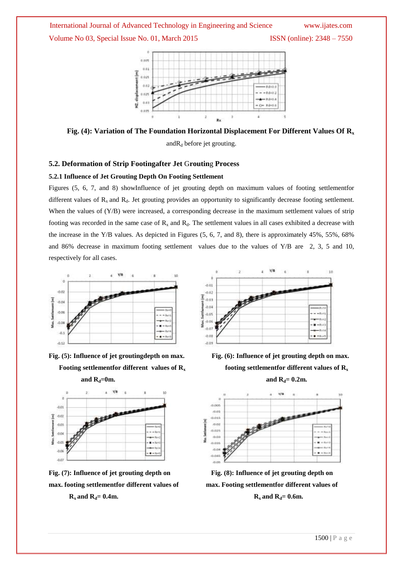

**Fig. (4): Variation of The Foundation Horizontal Displacement For Different Values Of R<sup>x</sup>** and  $R_d$  before jet grouting.

### **5.2. Deformation of Strip Footingafter Jet** G**routin**g **Process**

### **5.2.1 Influence of Jet Grouting Depth On Footing Settlement**

Figures (5, 6, 7, and 8) showInfluence of jet grouting depth on maximum values of footing settlementfor different values of  $R_x$  and  $R_d$ . Jet grouting provides an opportunity to significantly decrease footing settlement. When the values of (Y/B) were increased, a corresponding decrease in the maximum settlement values of strip footing was recorded in the same case of  $R_x$  and  $R_d$ . The settlement values in all cases exhibited a decrease with the increase in the Y/B values. As depicted in Figures (5, 6, 7, and 8), there is approximately 45%, 55%, 68% and 86% decrease in maximum footing settlement values due to the values of Y/B are 2, 3, 5 and 10, respectively for all cases.



**Fig. (5): Influence of jet groutingdepth on max. Fig. (6): Influence of jet grouting depth on max.**







 **Footing** settlementfor different values of  $R_x$  **footing** settlementfor different values of  $R_x$ 



**Fig. (7): Influence of jet grouting depth on Fig. (8): Influence of jet grouting depth on max. footing settlementfor different values of max. Footing settlementfor different values of R**<sub>x</sub> and  $R_d = 0.4m$ . R<sub>x</sub> and  $R_d = 0.6m$ .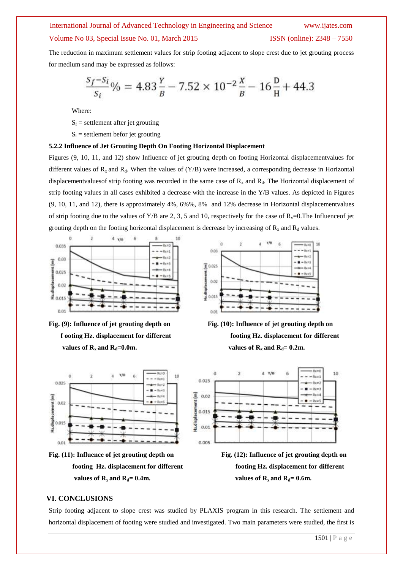#### International Journal of Advanced Technology in Engineering and Science www.ijates.com

### Volume No 03, Special Issue No. 01, March 2015 **ISSN** (online): 2348 – 7550

The reduction in maximum settlement values for strip footing adjacent to slope crest due to jet grouting process for medium sand may be expressed as follows:

$$
\frac{S_f - S_i}{S_i} \% = 4.83 \frac{Y}{B} - 7.52 \times 10^{-2} \frac{X}{B} - 16 \frac{D}{H} + 44.3
$$

Where:

 $S_f$  = settlement after jet grouting

 $S_i$  = settlement befor jet grouting

#### **5.2.2 Influence of Jet Grouting Depth On Footing Horizontal Displacement**

Figures (9, 10, 11, and 12) show Influence of jet grouting depth on footing Horizontal displacementvalues for different values of  $R_x$  and  $R_d$ . When the values of  $(Y/B)$  were increased, a corresponding decrease in Horizontal displacementvaluesof strip footing was recorded in the same case of  $R_x$  and  $R_d$ . The Horizontal displacement of strip footing values in all cases exhibited a decrease with the increase in the Y/B values. As depicted in Figures (9, 10, 11, and 12), there is approximately 4%, 6%%, 8% and 12% decrease in Horizontal displacementvalues of strip footing due to the values of Y/B are 2, 3, 5 and 10, respectively for the case of  $R_x=0$ . The Influence of jet grouting depth on the footing horizontal displacement is decrease by increasing of  $R_x$  and  $R_d$  values.







**Fig. (11): Influence of jet grouting depth on Fig. (12): Influence of jet grouting depth on values of R**<sub>x</sub> and  $R_d = 0.4$ m. values of  $R_x$  and  $R_d = 0.6$ m.







 **footing Hz. displacement for different footing Hz. displacement for different** 

### **VI. CONCLUSIONS**

Strip footing adjacent to slope crest was studied by PLAXIS program in this research. The settlement and horizontal displacement of footing were studied and investigated. Two main parameters were studied, the first is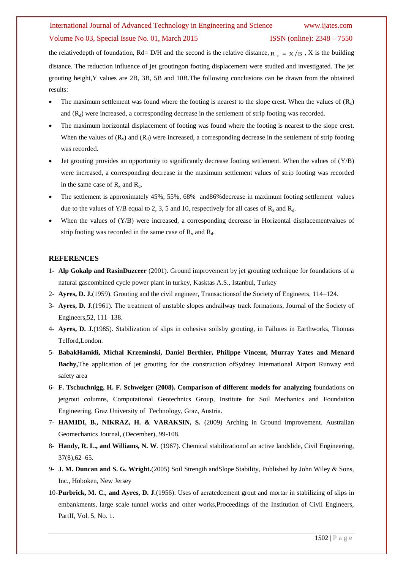the relative depth of foundation, Rd= D/H and the second is the relative distance,  $R_{\rm x} = X/B$ , X is the building distance. The reduction influence of jet groutingon footing displacement were studied and investigated. The jet grouting height,Y values are 2B, 3B, 5B and 10B.The following conclusions can be drawn from the obtained results:

- The maximum settlement was found where the footing is nearest to the slope crest. When the values of  $(R_x)$ and  $(R_d)$  were increased, a corresponding decrease in the settlement of strip footing was recorded.
- The maximum horizontal displacement of footing was found where the footing is nearest to the slope crest. When the values of  $(R_x)$  and  $(R_d)$  were increased, a corresponding decrease in the settlement of strip footing was recorded.
- Jet grouting provides an opportunity to significantly decrease footing settlement. When the values of (Y/B) were increased, a corresponding decrease in the maximum settlement values of strip footing was recorded in the same case of  $R_x$  and  $R_d$ .
- The settlement is approximately 45%, 55%, 68% and86%decrease in maximum footing settlement values due to the values of Y/B equal to 2, 3, 5 and 10, respectively for all cases of  $R_x$  and  $R_d$ .
- When the values of (Y/B) were increased, a corresponding decrease in Horizontal displacement values of strip footing was recorded in the same case of  $R_x$  and  $R_d$ .

### **REFERENCES**

- 1- **Alp Gokalp and RasinDuzceer** (2001). Ground improvement by jet grouting technique for foundations of a natural gascombined cycle power plant in turkey, Kasktas A.S., Istanbul, Turkey
- 2- **Ayres, D. J.**(1959). Grouting and the civil engineer, Transactionsof the Society of Engineers, 114–124.
- 3- **Ayres, D. J.**(1961). The treatment of unstable slopes andrailway track formations, Journal of the Society of Engineers,52, 111–138.
- 4- **Ayres, D. J.**(1985). Stabilization of slips in cohesive soilsby grouting, in Failures in Earthworks, Thomas Telford,London.
- 5- **BabakHamidi, Michal Krzeminski, Daniel Berthier, Philippe Vincent, Murray Yates and Menard Bachy,**The application of jet grouting for the construction ofSydney International Airport Runway end safety area
- 6- **F. Tschuchnigg, H. F. Schweiger (2008). Comparison of different models for analyzing** foundations on jetgrout columns, Computational Geotechnics Group, Institute for Soil Mechanics and Foundation Engineering, Graz University of Technology, Graz, Austria.
- 7- **HAMIDI, B., NIKRAZ, H. & VARAKSIN, S.** (2009) Arching in Ground Improvement. Australian Geomechanics Journal, (December), 99-108.
- 8- **Handy, R. L., and Williams, N. W**. (1967). Chemical stabilizationof an active landslide, Civil Engineering, 37(8),62–65.
- 9- **J. M. Duncan and S. G. Wright.**(2005) Soil Strength andSlope Stability, Published by John Wiley & Sons, Inc., Hoboken, New Jersey
- 10-**Purbrick, M. C., and Ayres, D. J.**(1956). Uses of aeratedcement grout and mortar in stabilizing of slips in embankments, large scale tunnel works and other works,Proceedings of the Institution of Civil Engineers, PartII, Vol. 5, No. 1.